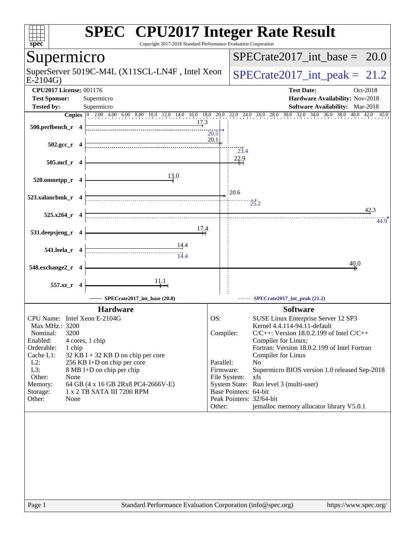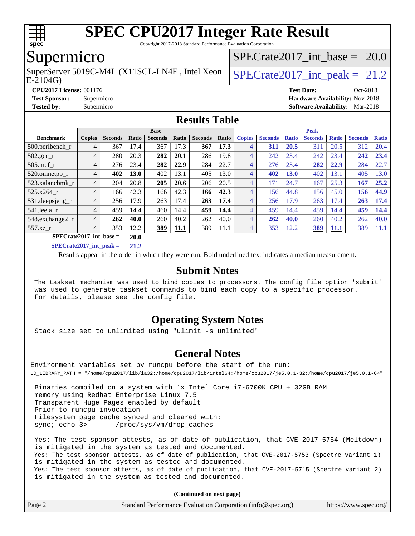

Copyright 2017-2018 Standard Performance Evaluation Corporation

## Supermicro

E-2104G) SuperServer 5019C-M4L (X11SCL-LN4F, Intel Xeon  $\big|$  SPECrate 2017 int peak = 21.2

SPECrate2017 int\_base =  $20.0$ 

**[CPU2017 License:](http://www.spec.org/auto/cpu2017/Docs/result-fields.html#CPU2017License)** 001176 **[Test Date:](http://www.spec.org/auto/cpu2017/Docs/result-fields.html#TestDate)** Oct-2018 **[Test Sponsor:](http://www.spec.org/auto/cpu2017/Docs/result-fields.html#TestSponsor)** Supermicro **[Hardware Availability:](http://www.spec.org/auto/cpu2017/Docs/result-fields.html#HardwareAvailability)** Nov-2018 **[Tested by:](http://www.spec.org/auto/cpu2017/Docs/result-fields.html#Testedby)** Supermicro **[Software Availability:](http://www.spec.org/auto/cpu2017/Docs/result-fields.html#SoftwareAvailability)** Mar-2018

#### **[Results Table](http://www.spec.org/auto/cpu2017/Docs/result-fields.html#ResultsTable)**

|                                    | <b>Base</b>    |                |       |                |             |                |       | <b>Peak</b>    |                |              |                |              |                |              |
|------------------------------------|----------------|----------------|-------|----------------|-------------|----------------|-------|----------------|----------------|--------------|----------------|--------------|----------------|--------------|
| <b>Benchmark</b>                   | Copies         | <b>Seconds</b> | Ratio | <b>Seconds</b> | Ratio       | <b>Seconds</b> | Ratio | <b>Copies</b>  | <b>Seconds</b> | <b>Ratio</b> | <b>Seconds</b> | <b>Ratio</b> | <b>Seconds</b> | <b>Ratio</b> |
| $500.$ perlbench_r                 | 4              | 367            | 17.4  | 367            | 17.3        | 367            | 17.3  | 4              | 311            | 20.5         | 311            | 20.5         | 312            | 20.4         |
| $502.\text{gcc}$ <sub>r</sub>      | 4              | 280            | 20.3  | 282            | 20.1        | 286            | 19.8  | $\overline{4}$ | 242            | 23.4         | 242            | 23.4         | 242            | 23.4         |
| $505$ .mcf r                       | 4              | 276            | 23.4  | 282            | 22.9        | 284            | 22.7  | 4              | 276            | 23.4         | 282            | 22.9         | 284            | 22.7         |
| 520.omnetpp_r                      | 4              | 402            | 13.0  | 402            | 13.1        | 405            | 13.0  | 4              | 402            | <b>13.0</b>  | 402            | 13.1         | 405            | 13.0         |
| 523.xalancbmk r                    | 4              | 204            | 20.8  | 205            | 20.6        | 206            | 20.5  | $\overline{4}$ | 171            | 24.7         | 167            | 25.3         | 167            | 25.2         |
| 525.x264 r                         | $\overline{4}$ | 166            | 42.3  | 166            | 42.3        | 166            | 42.3  | $\overline{4}$ | 156            | 44.8         | 156            | 45.0         | 156            | 44.9         |
| 531.deepsjeng_r                    | 4              | 256            | 17.9  | 263            | 17.4        | 263            | 17.4  | $\overline{4}$ | 256            | 17.9         | 263            | 17.4         | 263            | 17.4         |
| 541.leela r                        | 4              | 459            | 14.4  | 460            | 14.4        | 459            | 14.4  | $\overline{4}$ | 459            | 14.4         | 459            | 14.4         | 459            | 14.4         |
| 548.exchange2_r                    | 4              | 262            | 40.0  | 260            | 40.2        | 262            | 40.0  | $\overline{4}$ | 262            | 40.0         | 260            | 40.2         | 262            | 40.0         |
| 557.xz                             | 4              | 353            | 12.2  | 389            | <u>11.1</u> | 389            | 11.1  | 4              | 353            | 12.2         | 389            | <u>11.1</u>  | 389            | 11.1         |
| $SPECrate2017$ int base =          |                |                |       |                |             |                |       |                |                |              |                |              |                |              |
| $C1$ $C2$ $A0$ $A1$ $A2$ $A3$ $A4$ |                |                | $-1$  |                |             |                |       |                |                |              |                |              |                |              |

**[SPECrate2017\\_int\\_peak =](http://www.spec.org/auto/cpu2017/Docs/result-fields.html#SPECrate2017intpeak) 21.2**

Results appear in the [order in which they were run](http://www.spec.org/auto/cpu2017/Docs/result-fields.html#RunOrder). Bold underlined text [indicates a median measurement](http://www.spec.org/auto/cpu2017/Docs/result-fields.html#Median).

#### **[Submit Notes](http://www.spec.org/auto/cpu2017/Docs/result-fields.html#SubmitNotes)**

 The taskset mechanism was used to bind copies to processors. The config file option 'submit' was used to generate taskset commands to bind each copy to a specific processor. For details, please see the config file.

#### **[Operating System Notes](http://www.spec.org/auto/cpu2017/Docs/result-fields.html#OperatingSystemNotes)**

Stack size set to unlimited using "ulimit -s unlimited"

#### **[General Notes](http://www.spec.org/auto/cpu2017/Docs/result-fields.html#GeneralNotes)**

Environment variables set by runcpu before the start of the run: LD\_LIBRARY\_PATH = "/home/cpu2017/lib/ia32:/home/cpu2017/lib/intel64:/home/cpu2017/je5.0.1-32:/home/cpu2017/je5.0.1-64"

 Binaries compiled on a system with 1x Intel Core i7-6700K CPU + 32GB RAM memory using Redhat Enterprise Linux 7.5 Transparent Huge Pages enabled by default Prior to runcpu invocation Filesystem page cache synced and cleared with: sync; echo 3> /proc/sys/vm/drop\_caches

 Yes: The test sponsor attests, as of date of publication, that CVE-2017-5754 (Meltdown) is mitigated in the system as tested and documented. Yes: The test sponsor attests, as of date of publication, that CVE-2017-5753 (Spectre variant 1) is mitigated in the system as tested and documented. Yes: The test sponsor attests, as of date of publication, that CVE-2017-5715 (Spectre variant 2) is mitigated in the system as tested and documented.

**(Continued on next page)**

| Page 2<br>Standard Performance Evaluation Corporation (info@spec.org)<br>https://www.spec.org/ |
|------------------------------------------------------------------------------------------------|
|------------------------------------------------------------------------------------------------|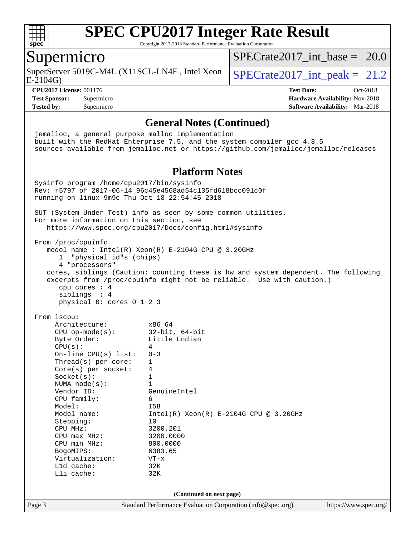

Copyright 2017-2018 Standard Performance Evaluation Corporation

### Supermicro

SuperServer 5019C-M4L (X11SCL-LN4F, Intel Xeon  $\big|$  SPECrate 2017 int peak = 21.2

 $SPECrate2017\_int\_base = 20.0$ 

E-2104G)

#### **[CPU2017 License:](http://www.spec.org/auto/cpu2017/Docs/result-fields.html#CPU2017License)** 001176 **[Test Date:](http://www.spec.org/auto/cpu2017/Docs/result-fields.html#TestDate)** Oct-2018

**[Test Sponsor:](http://www.spec.org/auto/cpu2017/Docs/result-fields.html#TestSponsor)** Supermicro **[Hardware Availability:](http://www.spec.org/auto/cpu2017/Docs/result-fields.html#HardwareAvailability)** Nov-2018 **[Tested by:](http://www.spec.org/auto/cpu2017/Docs/result-fields.html#Testedby)** Supermicro **[Software Availability:](http://www.spec.org/auto/cpu2017/Docs/result-fields.html#SoftwareAvailability)** Mar-2018

#### **[General Notes \(Continued\)](http://www.spec.org/auto/cpu2017/Docs/result-fields.html#GeneralNotes)**

Page 3 Standard Performance Evaluation Corporation [\(info@spec.org\)](mailto:info@spec.org) <https://www.spec.org/> jemalloc, a general purpose malloc implementation built with the RedHat Enterprise 7.5, and the system compiler gcc 4.8.5 sources available from jemalloc.net or <https://github.com/jemalloc/jemalloc/releases> **[Platform Notes](http://www.spec.org/auto/cpu2017/Docs/result-fields.html#PlatformNotes)** Sysinfo program /home/cpu2017/bin/sysinfo Rev: r5797 of 2017-06-14 96c45e4568ad54c135fd618bcc091c0f running on linux-9m9c Thu Oct 18 22:54:45 2018 SUT (System Under Test) info as seen by some common utilities. For more information on this section, see <https://www.spec.org/cpu2017/Docs/config.html#sysinfo> From /proc/cpuinfo model name : Intel(R) Xeon(R) E-2104G CPU @ 3.20GHz 1 "physical id"s (chips) 4 "processors" cores, siblings (Caution: counting these is hw and system dependent. The following excerpts from /proc/cpuinfo might not be reliable. Use with caution.) cpu cores : 4 siblings : 4 physical 0: cores 0 1 2 3 From lscpu: Architecture: x86\_64 CPU op-mode(s): 32-bit, 64-bit Byte Order: Little Endian  $CPU(s):$  4 On-line CPU(s) list: 0-3 Thread(s) per core: 1 Core(s) per socket: 4 Socket(s): 1 NUMA node(s): 1<br>Vendor ID: Ge GenuineIntel CPU family: 6 Model: 158 Model name: Intel(R) Xeon(R) E-2104G CPU @ 3.20GHz Stepping: 10 CPU MHz: 3200.201<br>
CPU max MHz: 3200.0000 CPU max MHz: 3200.000<br>
CPU min MHz: 800.0000 CPU min MHz: BogoMIPS: 6383.65 Virtualization: VT-x L1d cache: 32K L1i cache: 32K **(Continued on next page)**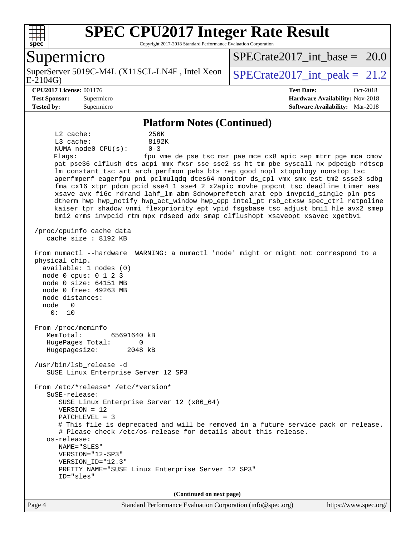

Copyright 2017-2018 Standard Performance Evaluation Corporation

### Supermicro

E-2104G) SuperServer 5019C-M4L (X11SCL-LN4F, Intel Xeon  $\big|$  SPECrate 2017 int peak = 21.2

SPECrate2017 int\_base =  $20.0$ 

**[CPU2017 License:](http://www.spec.org/auto/cpu2017/Docs/result-fields.html#CPU2017License)** 001176 **[Test Date:](http://www.spec.org/auto/cpu2017/Docs/result-fields.html#TestDate)** Oct-2018

**[Test Sponsor:](http://www.spec.org/auto/cpu2017/Docs/result-fields.html#TestSponsor)** Supermicro **[Hardware Availability:](http://www.spec.org/auto/cpu2017/Docs/result-fields.html#HardwareAvailability)** Nov-2018 **[Tested by:](http://www.spec.org/auto/cpu2017/Docs/result-fields.html#Testedby)** Supermicro **[Software Availability:](http://www.spec.org/auto/cpu2017/Docs/result-fields.html#SoftwareAvailability)** Mar-2018

#### **[Platform Notes \(Continued\)](http://www.spec.org/auto/cpu2017/Docs/result-fields.html#PlatformNotes)**

 L2 cache: 256K L3 cache: 8192K NUMA node0 CPU(s): 0-3 Flags: fpu vme de pse tsc msr pae mce cx8 apic sep mtrr pge mca cmov pat pse36 clflush dts acpi mmx fxsr sse sse2 ss ht tm pbe syscall nx pdpe1gb rdtscp lm constant\_tsc art arch\_perfmon pebs bts rep\_good nopl xtopology nonstop\_tsc aperfmperf eagerfpu pni pclmulqdq dtes64 monitor ds\_cpl vmx smx est tm2 ssse3 sdbg fma cx16 xtpr pdcm pcid sse4\_1 sse4\_2 x2apic movbe popcnt tsc\_deadline\_timer aes xsave avx f16c rdrand lahf\_lm abm 3dnowprefetch arat epb invpcid\_single pln pts dtherm hwp hwp\_notify hwp\_act\_window hwp\_epp intel\_pt rsb\_ctxsw spec\_ctrl retpoline kaiser tpr\_shadow vnmi flexpriority ept vpid fsgsbase tsc\_adjust bmi1 hle avx2 smep bmi2 erms invpcid rtm mpx rdseed adx smap clflushopt xsaveopt xsavec xgetbv1 /proc/cpuinfo cache data cache size : 8192 KB From numactl --hardware WARNING: a numactl 'node' might or might not correspond to a physical chip. available: 1 nodes (0) node 0 cpus: 0 1 2 3 node 0 size: 64151 MB node 0 free: 49263 MB node distances: node 0 0: 10 From /proc/meminfo MemTotal: 65691640 kB HugePages\_Total: 0 Hugepagesize: 2048 kB /usr/bin/lsb\_release -d SUSE Linux Enterprise Server 12 SP3 From /etc/\*release\* /etc/\*version\* SuSE-release: SUSE Linux Enterprise Server 12 (x86\_64) VERSION = 12 PATCHLEVEL = 3 # This file is deprecated and will be removed in a future service pack or release. # Please check /etc/os-release for details about this release. os-release: NAME="SLES" VERSION="12-SP3" VERSION\_ID="12.3" PRETTY\_NAME="SUSE Linux Enterprise Server 12 SP3" ID="sles" **(Continued on next page)**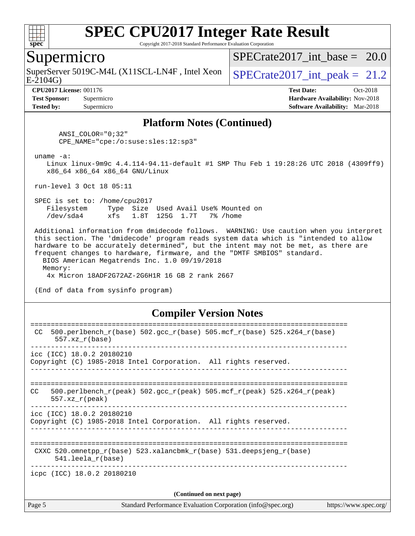

Copyright 2017-2018 Standard Performance Evaluation Corporation

#### Supermicro

E-2104G) SuperServer 5019C-M4L (X11SCL-LN4F, Intel Xeon  $\big|$  SPECrate 2017 int peak = 21.2

SPECrate2017 int\_base =  $20.0$ 

**[Tested by:](http://www.spec.org/auto/cpu2017/Docs/result-fields.html#Testedby)** Supermicro **[Software Availability:](http://www.spec.org/auto/cpu2017/Docs/result-fields.html#SoftwareAvailability)** Mar-2018

**[CPU2017 License:](http://www.spec.org/auto/cpu2017/Docs/result-fields.html#CPU2017License)** 001176 **[Test Date:](http://www.spec.org/auto/cpu2017/Docs/result-fields.html#TestDate)** Oct-2018 **[Test Sponsor:](http://www.spec.org/auto/cpu2017/Docs/result-fields.html#TestSponsor)** Supermicro **[Hardware Availability:](http://www.spec.org/auto/cpu2017/Docs/result-fields.html#HardwareAvailability)** Nov-2018

#### **[Platform Notes \(Continued\)](http://www.spec.org/auto/cpu2017/Docs/result-fields.html#PlatformNotes)**

 ANSI\_COLOR="0;32" CPE\_NAME="cpe:/o:suse:sles:12:sp3"

uname -a:

 Linux linux-9m9c 4.4.114-94.11-default #1 SMP Thu Feb 1 19:28:26 UTC 2018 (4309ff9) x86\_64 x86\_64 x86\_64 GNU/Linux

run-level 3 Oct 18 05:11

 SPEC is set to: /home/cpu2017 Filesystem Type Size Used Avail Use% Mounted on /dev/sda4 xfs 1.8T 125G 1.7T 7% /home

 Additional information from dmidecode follows. WARNING: Use caution when you interpret this section. The 'dmidecode' program reads system data which is "intended to allow hardware to be accurately determined", but the intent may not be met, as there are frequent changes to hardware, firmware, and the "DMTF SMBIOS" standard. BIOS American Megatrends Inc. 1.0 09/19/2018

 Memory: 4x Micron 18ADF2G72AZ-2G6H1R 16 GB 2 rank 2667

(End of data from sysinfo program)

#### **[Compiler Version Notes](http://www.spec.org/auto/cpu2017/Docs/result-fields.html#CompilerVersionNotes)**

| Page 5 | Standard Performance Evaluation Corporation (info@spec.org)<br>https://www.spec.org/                                    |
|--------|-------------------------------------------------------------------------------------------------------------------------|
|        | (Continued on next page)                                                                                                |
|        | icpc (ICC) 18.0.2 20180210                                                                                              |
|        | CXXC $520.\text{omnetpp_r(base)}$ $523.\text{xalancbmk_r(base)}$ $531.\text{deepsjeng_r(base)}$<br>$541.$ leela r(base) |
|        | icc (ICC) 18.0.2 20180210<br>Copyright (C) 1985-2018 Intel Corporation. All rights reserved.                            |
| CC.    | $500. perlbench_r (peak) 502. gcc_r (peak) 505. mcf_r (peak) 525. x264_r (peak)$<br>$557.xx$ r(peak)                    |
|        | icc (ICC) 18.0.2 20180210<br>Copyright (C) 1985-2018 Intel Corporation. All rights reserved.                            |
| CC.    | $500. perlbench_r(base) 502. gcc_r(base) 505. mcf_r(base) 525. x264_r(base)$<br>$557.xx$ $r(base)$                      |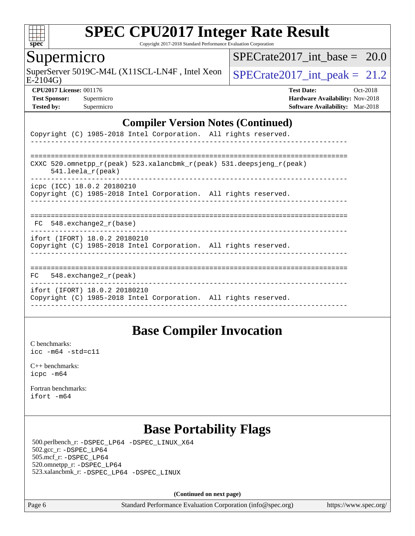

Copyright 2017-2018 Standard Performance Evaluation Corporation

## Supermicro

SuperServer 5019C-M4L (X11SCL-LN4F, Intel Xeon  $\big|$  SPECrate 2017 int peak = 21.2

SPECrate2017 int\_base =  $20.0$ 

 $E-2104G$ 

**[Tested by:](http://www.spec.org/auto/cpu2017/Docs/result-fields.html#Testedby)** Supermicro **[Software Availability:](http://www.spec.org/auto/cpu2017/Docs/result-fields.html#SoftwareAvailability)** Mar-2018

**[CPU2017 License:](http://www.spec.org/auto/cpu2017/Docs/result-fields.html#CPU2017License)** 001176 **[Test Date:](http://www.spec.org/auto/cpu2017/Docs/result-fields.html#TestDate)** Oct-2018 **[Test Sponsor:](http://www.spec.org/auto/cpu2017/Docs/result-fields.html#TestSponsor)** Supermicro **[Hardware Availability:](http://www.spec.org/auto/cpu2017/Docs/result-fields.html#HardwareAvailability)** Nov-2018

#### **[Compiler Version Notes \(Continued\)](http://www.spec.org/auto/cpu2017/Docs/result-fields.html#CompilerVersionNotes)**

| Copyright (C) 1985-2018 Intel Corporation. All rights reserved.                                                         |
|-------------------------------------------------------------------------------------------------------------------------|
|                                                                                                                         |
| CXXC 520.omnetpp $r(\text{peak})$ 523.xalancbmk $r(\text{peak})$ 531.deepsjeng $r(\text{peak})$<br>$541.$ leela r(peak) |
| icpc (ICC) 18.0.2 20180210<br>Copyright (C) 1985-2018 Intel Corporation. All rights reserved.                           |
| FC 548. exchange2 r(base)                                                                                               |
| ifort (IFORT) 18.0.2 20180210<br>Copyright (C) 1985-2018 Intel Corporation. All rights reserved.                        |
| $FC$ 548. exchange 2 $r$ (peak)                                                                                         |
| ifort (IFORT) 18.0.2 20180210<br>Copyright (C) 1985-2018 Intel Corporation. All rights reserved.                        |

## **[Base Compiler Invocation](http://www.spec.org/auto/cpu2017/Docs/result-fields.html#BaseCompilerInvocation)**

[C benchmarks](http://www.spec.org/auto/cpu2017/Docs/result-fields.html#Cbenchmarks): [icc -m64 -std=c11](http://www.spec.org/cpu2017/results/res2018q4/cpu2017-20181112-09607.flags.html#user_CCbase_intel_icc_64bit_c11_33ee0cdaae7deeeab2a9725423ba97205ce30f63b9926c2519791662299b76a0318f32ddfffdc46587804de3178b4f9328c46fa7c2b0cd779d7a61945c91cd35)

[C++ benchmarks:](http://www.spec.org/auto/cpu2017/Docs/result-fields.html#CXXbenchmarks) [icpc -m64](http://www.spec.org/cpu2017/results/res2018q4/cpu2017-20181112-09607.flags.html#user_CXXbase_intel_icpc_64bit_4ecb2543ae3f1412ef961e0650ca070fec7b7afdcd6ed48761b84423119d1bf6bdf5cad15b44d48e7256388bc77273b966e5eb805aefd121eb22e9299b2ec9d9)

[Fortran benchmarks](http://www.spec.org/auto/cpu2017/Docs/result-fields.html#Fortranbenchmarks): [ifort -m64](http://www.spec.org/cpu2017/results/res2018q4/cpu2017-20181112-09607.flags.html#user_FCbase_intel_ifort_64bit_24f2bb282fbaeffd6157abe4f878425411749daecae9a33200eee2bee2fe76f3b89351d69a8130dd5949958ce389cf37ff59a95e7a40d588e8d3a57e0c3fd751)

## **[Base Portability Flags](http://www.spec.org/auto/cpu2017/Docs/result-fields.html#BasePortabilityFlags)**

 500.perlbench\_r: [-DSPEC\\_LP64](http://www.spec.org/cpu2017/results/res2018q4/cpu2017-20181112-09607.flags.html#b500.perlbench_r_basePORTABILITY_DSPEC_LP64) [-DSPEC\\_LINUX\\_X64](http://www.spec.org/cpu2017/results/res2018q4/cpu2017-20181112-09607.flags.html#b500.perlbench_r_baseCPORTABILITY_DSPEC_LINUX_X64) 502.gcc\_r: [-DSPEC\\_LP64](http://www.spec.org/cpu2017/results/res2018q4/cpu2017-20181112-09607.flags.html#suite_basePORTABILITY502_gcc_r_DSPEC_LP64) 505.mcf\_r: [-DSPEC\\_LP64](http://www.spec.org/cpu2017/results/res2018q4/cpu2017-20181112-09607.flags.html#suite_basePORTABILITY505_mcf_r_DSPEC_LP64) 520.omnetpp\_r: [-DSPEC\\_LP64](http://www.spec.org/cpu2017/results/res2018q4/cpu2017-20181112-09607.flags.html#suite_basePORTABILITY520_omnetpp_r_DSPEC_LP64) 523.xalancbmk\_r: [-DSPEC\\_LP64](http://www.spec.org/cpu2017/results/res2018q4/cpu2017-20181112-09607.flags.html#suite_basePORTABILITY523_xalancbmk_r_DSPEC_LP64) [-DSPEC\\_LINUX](http://www.spec.org/cpu2017/results/res2018q4/cpu2017-20181112-09607.flags.html#b523.xalancbmk_r_baseCXXPORTABILITY_DSPEC_LINUX)

**(Continued on next page)**

Page 6 Standard Performance Evaluation Corporation [\(info@spec.org\)](mailto:info@spec.org) <https://www.spec.org/>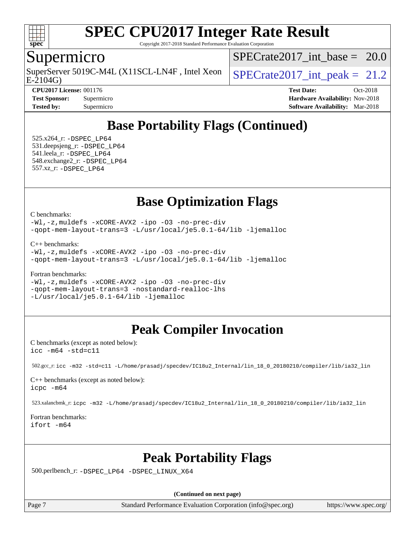

Copyright 2017-2018 Standard Performance Evaluation Corporation

### Supermicro

 $E-2104G$ SuperServer 5019C-M4L (X11SCL-LN4F, Intel Xeon  $\big|$  SPECrate 2017 int peak = 21.2

SPECrate2017 int\_base =  $20.0$ 

**[CPU2017 License:](http://www.spec.org/auto/cpu2017/Docs/result-fields.html#CPU2017License)** 001176 **[Test Date:](http://www.spec.org/auto/cpu2017/Docs/result-fields.html#TestDate)** Oct-2018 **[Test Sponsor:](http://www.spec.org/auto/cpu2017/Docs/result-fields.html#TestSponsor)** Supermicro **[Hardware Availability:](http://www.spec.org/auto/cpu2017/Docs/result-fields.html#HardwareAvailability)** Nov-2018 **[Tested by:](http://www.spec.org/auto/cpu2017/Docs/result-fields.html#Testedby)** Supermicro **[Software Availability:](http://www.spec.org/auto/cpu2017/Docs/result-fields.html#SoftwareAvailability)** Mar-2018

# **[Base Portability Flags \(Continued\)](http://www.spec.org/auto/cpu2017/Docs/result-fields.html#BasePortabilityFlags)**

 525.x264\_r: [-DSPEC\\_LP64](http://www.spec.org/cpu2017/results/res2018q4/cpu2017-20181112-09607.flags.html#suite_basePORTABILITY525_x264_r_DSPEC_LP64) 531.deepsjeng\_r: [-DSPEC\\_LP64](http://www.spec.org/cpu2017/results/res2018q4/cpu2017-20181112-09607.flags.html#suite_basePORTABILITY531_deepsjeng_r_DSPEC_LP64) 541.leela\_r: [-DSPEC\\_LP64](http://www.spec.org/cpu2017/results/res2018q4/cpu2017-20181112-09607.flags.html#suite_basePORTABILITY541_leela_r_DSPEC_LP64) 548.exchange2\_r: [-DSPEC\\_LP64](http://www.spec.org/cpu2017/results/res2018q4/cpu2017-20181112-09607.flags.html#suite_basePORTABILITY548_exchange2_r_DSPEC_LP64) 557.xz\_r: [-DSPEC\\_LP64](http://www.spec.org/cpu2017/results/res2018q4/cpu2017-20181112-09607.flags.html#suite_basePORTABILITY557_xz_r_DSPEC_LP64)

## **[Base Optimization Flags](http://www.spec.org/auto/cpu2017/Docs/result-fields.html#BaseOptimizationFlags)**

[C benchmarks](http://www.spec.org/auto/cpu2017/Docs/result-fields.html#Cbenchmarks):

[-Wl,-z,muldefs](http://www.spec.org/cpu2017/results/res2018q4/cpu2017-20181112-09607.flags.html#user_CCbase_link_force_multiple1_b4cbdb97b34bdee9ceefcfe54f4c8ea74255f0b02a4b23e853cdb0e18eb4525ac79b5a88067c842dd0ee6996c24547a27a4b99331201badda8798ef8a743f577) [-xCORE-AVX2](http://www.spec.org/cpu2017/results/res2018q4/cpu2017-20181112-09607.flags.html#user_CCbase_f-xCORE-AVX2) [-ipo](http://www.spec.org/cpu2017/results/res2018q4/cpu2017-20181112-09607.flags.html#user_CCbase_f-ipo) [-O3](http://www.spec.org/cpu2017/results/res2018q4/cpu2017-20181112-09607.flags.html#user_CCbase_f-O3) [-no-prec-div](http://www.spec.org/cpu2017/results/res2018q4/cpu2017-20181112-09607.flags.html#user_CCbase_f-no-prec-div) [-qopt-mem-layout-trans=3](http://www.spec.org/cpu2017/results/res2018q4/cpu2017-20181112-09607.flags.html#user_CCbase_f-qopt-mem-layout-trans_de80db37974c74b1f0e20d883f0b675c88c3b01e9d123adea9b28688d64333345fb62bc4a798493513fdb68f60282f9a726aa07f478b2f7113531aecce732043) [-L/usr/local/je5.0.1-64/lib](http://www.spec.org/cpu2017/results/res2018q4/cpu2017-20181112-09607.flags.html#user_CCbase_jemalloc_link_path64_4b10a636b7bce113509b17f3bd0d6226c5fb2346b9178c2d0232c14f04ab830f976640479e5c33dc2bcbbdad86ecfb6634cbbd4418746f06f368b512fced5394) [-ljemalloc](http://www.spec.org/cpu2017/results/res2018q4/cpu2017-20181112-09607.flags.html#user_CCbase_jemalloc_link_lib_d1249b907c500fa1c0672f44f562e3d0f79738ae9e3c4a9c376d49f265a04b9c99b167ecedbf6711b3085be911c67ff61f150a17b3472be731631ba4d0471706)

[C++ benchmarks:](http://www.spec.org/auto/cpu2017/Docs/result-fields.html#CXXbenchmarks)

[-Wl,-z,muldefs](http://www.spec.org/cpu2017/results/res2018q4/cpu2017-20181112-09607.flags.html#user_CXXbase_link_force_multiple1_b4cbdb97b34bdee9ceefcfe54f4c8ea74255f0b02a4b23e853cdb0e18eb4525ac79b5a88067c842dd0ee6996c24547a27a4b99331201badda8798ef8a743f577) [-xCORE-AVX2](http://www.spec.org/cpu2017/results/res2018q4/cpu2017-20181112-09607.flags.html#user_CXXbase_f-xCORE-AVX2) [-ipo](http://www.spec.org/cpu2017/results/res2018q4/cpu2017-20181112-09607.flags.html#user_CXXbase_f-ipo) [-O3](http://www.spec.org/cpu2017/results/res2018q4/cpu2017-20181112-09607.flags.html#user_CXXbase_f-O3) [-no-prec-div](http://www.spec.org/cpu2017/results/res2018q4/cpu2017-20181112-09607.flags.html#user_CXXbase_f-no-prec-div) [-qopt-mem-layout-trans=3](http://www.spec.org/cpu2017/results/res2018q4/cpu2017-20181112-09607.flags.html#user_CXXbase_f-qopt-mem-layout-trans_de80db37974c74b1f0e20d883f0b675c88c3b01e9d123adea9b28688d64333345fb62bc4a798493513fdb68f60282f9a726aa07f478b2f7113531aecce732043) [-L/usr/local/je5.0.1-64/lib](http://www.spec.org/cpu2017/results/res2018q4/cpu2017-20181112-09607.flags.html#user_CXXbase_jemalloc_link_path64_4b10a636b7bce113509b17f3bd0d6226c5fb2346b9178c2d0232c14f04ab830f976640479e5c33dc2bcbbdad86ecfb6634cbbd4418746f06f368b512fced5394) [-ljemalloc](http://www.spec.org/cpu2017/results/res2018q4/cpu2017-20181112-09607.flags.html#user_CXXbase_jemalloc_link_lib_d1249b907c500fa1c0672f44f562e3d0f79738ae9e3c4a9c376d49f265a04b9c99b167ecedbf6711b3085be911c67ff61f150a17b3472be731631ba4d0471706)

[Fortran benchmarks](http://www.spec.org/auto/cpu2017/Docs/result-fields.html#Fortranbenchmarks):

[-Wl,-z,muldefs](http://www.spec.org/cpu2017/results/res2018q4/cpu2017-20181112-09607.flags.html#user_FCbase_link_force_multiple1_b4cbdb97b34bdee9ceefcfe54f4c8ea74255f0b02a4b23e853cdb0e18eb4525ac79b5a88067c842dd0ee6996c24547a27a4b99331201badda8798ef8a743f577) [-xCORE-AVX2](http://www.spec.org/cpu2017/results/res2018q4/cpu2017-20181112-09607.flags.html#user_FCbase_f-xCORE-AVX2) [-ipo](http://www.spec.org/cpu2017/results/res2018q4/cpu2017-20181112-09607.flags.html#user_FCbase_f-ipo) [-O3](http://www.spec.org/cpu2017/results/res2018q4/cpu2017-20181112-09607.flags.html#user_FCbase_f-O3) [-no-prec-div](http://www.spec.org/cpu2017/results/res2018q4/cpu2017-20181112-09607.flags.html#user_FCbase_f-no-prec-div) [-qopt-mem-layout-trans=3](http://www.spec.org/cpu2017/results/res2018q4/cpu2017-20181112-09607.flags.html#user_FCbase_f-qopt-mem-layout-trans_de80db37974c74b1f0e20d883f0b675c88c3b01e9d123adea9b28688d64333345fb62bc4a798493513fdb68f60282f9a726aa07f478b2f7113531aecce732043) [-nostandard-realloc-lhs](http://www.spec.org/cpu2017/results/res2018q4/cpu2017-20181112-09607.flags.html#user_FCbase_f_2003_std_realloc_82b4557e90729c0f113870c07e44d33d6f5a304b4f63d4c15d2d0f1fab99f5daaed73bdb9275d9ae411527f28b936061aa8b9c8f2d63842963b95c9dd6426b8a) [-L/usr/local/je5.0.1-64/lib](http://www.spec.org/cpu2017/results/res2018q4/cpu2017-20181112-09607.flags.html#user_FCbase_jemalloc_link_path64_4b10a636b7bce113509b17f3bd0d6226c5fb2346b9178c2d0232c14f04ab830f976640479e5c33dc2bcbbdad86ecfb6634cbbd4418746f06f368b512fced5394) [-ljemalloc](http://www.spec.org/cpu2017/results/res2018q4/cpu2017-20181112-09607.flags.html#user_FCbase_jemalloc_link_lib_d1249b907c500fa1c0672f44f562e3d0f79738ae9e3c4a9c376d49f265a04b9c99b167ecedbf6711b3085be911c67ff61f150a17b3472be731631ba4d0471706)

# **[Peak Compiler Invocation](http://www.spec.org/auto/cpu2017/Docs/result-fields.html#PeakCompilerInvocation)**

[C benchmarks \(except as noted below\)](http://www.spec.org/auto/cpu2017/Docs/result-fields.html#Cbenchmarksexceptasnotedbelow): [icc -m64 -std=c11](http://www.spec.org/cpu2017/results/res2018q4/cpu2017-20181112-09607.flags.html#user_CCpeak_intel_icc_64bit_c11_33ee0cdaae7deeeab2a9725423ba97205ce30f63b9926c2519791662299b76a0318f32ddfffdc46587804de3178b4f9328c46fa7c2b0cd779d7a61945c91cd35)

502.gcc\_r: [icc -m32 -std=c11 -L/home/prasadj/specdev/IC18u2\\_Internal/lin\\_18\\_0\\_20180210/compiler/lib/ia32\\_lin](http://www.spec.org/cpu2017/results/res2018q4/cpu2017-20181112-09607.flags.html#user_peakCCLD502_gcc_r_intel_icc_a481ac844e7127046fad14d498c730a1848fa901fbbb2c3dfdd5e9fbbac777c8009953946d55d8b6afe8ed0da70dd2b4f8dedbdf7ab1ee211ba70d24a5d89f85)

[C++ benchmarks \(except as noted below\):](http://www.spec.org/auto/cpu2017/Docs/result-fields.html#CXXbenchmarksexceptasnotedbelow) [icpc -m64](http://www.spec.org/cpu2017/results/res2018q4/cpu2017-20181112-09607.flags.html#user_CXXpeak_intel_icpc_64bit_4ecb2543ae3f1412ef961e0650ca070fec7b7afdcd6ed48761b84423119d1bf6bdf5cad15b44d48e7256388bc77273b966e5eb805aefd121eb22e9299b2ec9d9)

523.xalancbmk\_r: [icpc -m32 -L/home/prasadj/specdev/IC18u2\\_Internal/lin\\_18\\_0\\_20180210/compiler/lib/ia32\\_lin](http://www.spec.org/cpu2017/results/res2018q4/cpu2017-20181112-09607.flags.html#user_peakCXXLD523_xalancbmk_r_intel_icpc_c6d030cd79af6ea7d6fb64c57e8fe7ae8fe0b96fc5a3b3f4a10e3273b3d7fa9decd8263f6330cef23f751cb093a69fae84a2bf4c243500a8eed069248128076f)

[Fortran benchmarks](http://www.spec.org/auto/cpu2017/Docs/result-fields.html#Fortranbenchmarks): [ifort -m64](http://www.spec.org/cpu2017/results/res2018q4/cpu2017-20181112-09607.flags.html#user_FCpeak_intel_ifort_64bit_24f2bb282fbaeffd6157abe4f878425411749daecae9a33200eee2bee2fe76f3b89351d69a8130dd5949958ce389cf37ff59a95e7a40d588e8d3a57e0c3fd751)

## **[Peak Portability Flags](http://www.spec.org/auto/cpu2017/Docs/result-fields.html#PeakPortabilityFlags)**

500.perlbench\_r: [-DSPEC\\_LP64](http://www.spec.org/cpu2017/results/res2018q4/cpu2017-20181112-09607.flags.html#b500.perlbench_r_peakPORTABILITY_DSPEC_LP64) [-DSPEC\\_LINUX\\_X64](http://www.spec.org/cpu2017/results/res2018q4/cpu2017-20181112-09607.flags.html#b500.perlbench_r_peakCPORTABILITY_DSPEC_LINUX_X64)

**(Continued on next page)**

Page 7 Standard Performance Evaluation Corporation [\(info@spec.org\)](mailto:info@spec.org) <https://www.spec.org/>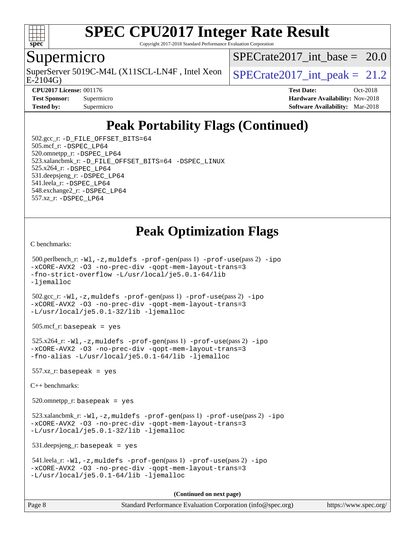

Copyright 2017-2018 Standard Performance Evaluation Corporation

#### Supermicro

SuperServer 5019C-M4L (X11SCL-LN4F, Intel Xeon  $\big|$  SPECrate 2017 int peak = 21.2

 $SPECrate2017\_int\_base = 20.0$ 

E-2104G)

**[CPU2017 License:](http://www.spec.org/auto/cpu2017/Docs/result-fields.html#CPU2017License)** 001176 **[Test Date:](http://www.spec.org/auto/cpu2017/Docs/result-fields.html#TestDate)** Oct-2018 **[Test Sponsor:](http://www.spec.org/auto/cpu2017/Docs/result-fields.html#TestSponsor)** Supermicro **[Hardware Availability:](http://www.spec.org/auto/cpu2017/Docs/result-fields.html#HardwareAvailability)** Nov-2018 **[Tested by:](http://www.spec.org/auto/cpu2017/Docs/result-fields.html#Testedby)** Supermicro **Supermicro [Software Availability:](http://www.spec.org/auto/cpu2017/Docs/result-fields.html#SoftwareAvailability)** Mar-2018

# **[Peak Portability Flags \(Continued\)](http://www.spec.org/auto/cpu2017/Docs/result-fields.html#PeakPortabilityFlags)**

 502.gcc\_r: [-D\\_FILE\\_OFFSET\\_BITS=64](http://www.spec.org/cpu2017/results/res2018q4/cpu2017-20181112-09607.flags.html#user_peakPORTABILITY502_gcc_r_file_offset_bits_64_5ae949a99b284ddf4e95728d47cb0843d81b2eb0e18bdfe74bbf0f61d0b064f4bda2f10ea5eb90e1dcab0e84dbc592acfc5018bc955c18609f94ddb8d550002c) 505.mcf\_r: [-DSPEC\\_LP64](http://www.spec.org/cpu2017/results/res2018q4/cpu2017-20181112-09607.flags.html#suite_peakPORTABILITY505_mcf_r_DSPEC_LP64) 520.omnetpp\_r: [-DSPEC\\_LP64](http://www.spec.org/cpu2017/results/res2018q4/cpu2017-20181112-09607.flags.html#suite_peakPORTABILITY520_omnetpp_r_DSPEC_LP64) 523.xalancbmk\_r: [-D\\_FILE\\_OFFSET\\_BITS=64](http://www.spec.org/cpu2017/results/res2018q4/cpu2017-20181112-09607.flags.html#user_peakPORTABILITY523_xalancbmk_r_file_offset_bits_64_5ae949a99b284ddf4e95728d47cb0843d81b2eb0e18bdfe74bbf0f61d0b064f4bda2f10ea5eb90e1dcab0e84dbc592acfc5018bc955c18609f94ddb8d550002c) [-DSPEC\\_LINUX](http://www.spec.org/cpu2017/results/res2018q4/cpu2017-20181112-09607.flags.html#b523.xalancbmk_r_peakCXXPORTABILITY_DSPEC_LINUX) 525.x264\_r: [-DSPEC\\_LP64](http://www.spec.org/cpu2017/results/res2018q4/cpu2017-20181112-09607.flags.html#suite_peakPORTABILITY525_x264_r_DSPEC_LP64) 531.deepsjeng\_r: [-DSPEC\\_LP64](http://www.spec.org/cpu2017/results/res2018q4/cpu2017-20181112-09607.flags.html#suite_peakPORTABILITY531_deepsjeng_r_DSPEC_LP64) 541.leela\_r: [-DSPEC\\_LP64](http://www.spec.org/cpu2017/results/res2018q4/cpu2017-20181112-09607.flags.html#suite_peakPORTABILITY541_leela_r_DSPEC_LP64) 548.exchange2\_r: [-DSPEC\\_LP64](http://www.spec.org/cpu2017/results/res2018q4/cpu2017-20181112-09607.flags.html#suite_peakPORTABILITY548_exchange2_r_DSPEC_LP64) 557.xz\_r: [-DSPEC\\_LP64](http://www.spec.org/cpu2017/results/res2018q4/cpu2017-20181112-09607.flags.html#suite_peakPORTABILITY557_xz_r_DSPEC_LP64)

## **[Peak Optimization Flags](http://www.spec.org/auto/cpu2017/Docs/result-fields.html#PeakOptimizationFlags)**

[C benchmarks](http://www.spec.org/auto/cpu2017/Docs/result-fields.html#Cbenchmarks):

```
(info@spec.org)https://www.spec.org/
  500.perlbench_r: -Wl,-z,muldefs -prof-gen(pass 1) -prof-use(pass 2) -ipo
-xCORE-AVX2 -O3 -no-prec-div -qopt-mem-layout-trans=3
-fno-strict-overflow -L/usr/local/je5.0.1-64/lib
-ljemalloc
  502.gcc_r: -Wl,-z,muldefs -prof-gen(pass 1) -prof-use(pass 2) -ipo
-xCORE-AVX2 -O3 -no-prec-div -qopt-mem-layout-trans=3
-L/usr/local/je5.0.1-32/lib -ljemalloc
  505.mcf_r: basepeak = yes
  525.x264_r: -Wl,-z,muldefs -prof-gen(pass 1) -prof-use(pass 2) -ipo
-xCORE-AVX2 -O3 -no-prec-div -qopt-mem-layout-trans=3
-fno-alias -L/usr/local/je5.0.1-64/lib -ljemalloc
  557.xz_r: basepeak = yes
C++ benchmarks: 
  520.omnetpp_r: basepeak = yes
 523.xalancbmk_r: -W1, -z, muldefs -prof-qen(pass 1) -prof-use-ipo-xCORE-AVX2 -O3 -no-prec-div -qopt-mem-layout-trans=3
-L/usr/local/je5.0.1-32/lib -ljemalloc
  531.deepsjeng_r: basepeak = yes
  541.leela_r: -Wl,-z,muldefs -prof-gen(pass 1) -prof-use(pass 2) -ipo
-xCORE-AVX2 -O3 -no-prec-div -qopt-mem-layout-trans=3
-L/usr/local/je5.0.1-64/lib -ljemalloc
                                     (Continued on next page)
```